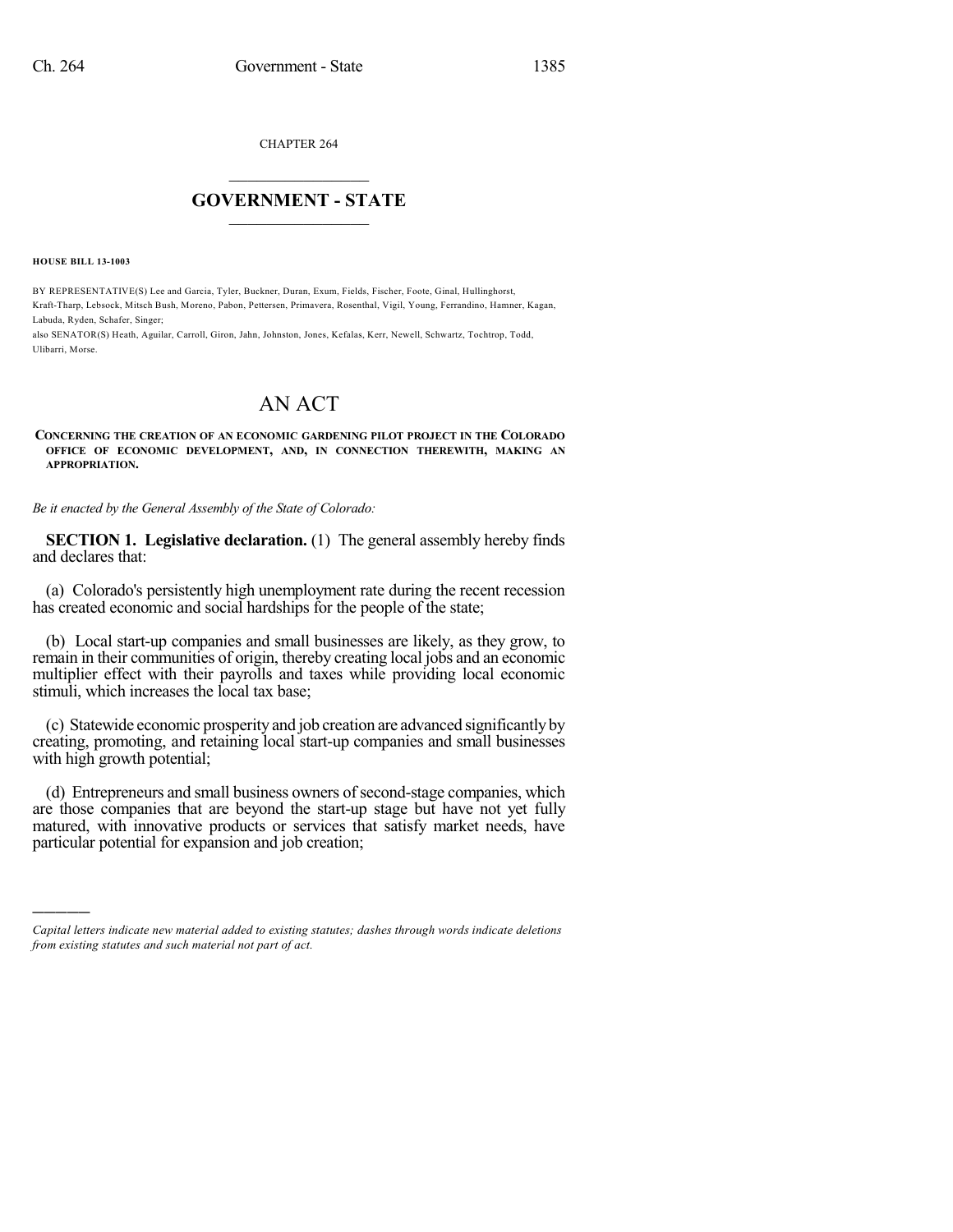CHAPTER 264

## $\mathcal{L}_\text{max}$  . The set of the set of the set of the set of the set of the set of the set of the set of the set of the set of the set of the set of the set of the set of the set of the set of the set of the set of the set **GOVERNMENT - STATE**  $\_$   $\_$   $\_$   $\_$   $\_$   $\_$   $\_$   $\_$

**HOUSE BILL 13-1003**

)))))

BY REPRESENTATIVE(S) Lee and Garcia, Tyler, Buckner, Duran, Exum, Fields, Fischer, Foote, Ginal, Hullinghorst, Kraft-Tharp, Lebsock, Mitsch Bush, Moreno, Pabon, Pettersen, Primavera, Rosenthal, Vigil, Young, Ferrandino, Hamner, Kagan, Labuda, Ryden, Schafer, Singer;

also SENATOR(S) Heath, Aguilar, Carroll, Giron, Jahn, Johnston, Jones, Kefalas, Kerr, Newell, Schwartz, Tochtrop, Todd, Ulibarri, Morse.

## AN ACT

**CONCERNING THE CREATION OF AN ECONOMIC GARDENING PILOT PROJECT IN THE COLORADO OFFICE OF ECONOMIC DEVELOPMENT, AND, IN CONNECTION THEREWITH, MAKING AN APPROPRIATION.**

*Be it enacted by the General Assembly of the State of Colorado:*

**SECTION 1. Legislative declaration.** (1) The general assembly hereby finds and declares that:

(a) Colorado's persistently high unemployment rate during the recent recession has created economic and social hardships for the people of the state;

(b) Local start-up companies and small businesses are likely, as they grow, to remain in their communities of origin, thereby creating local jobs and an economic multiplier effect with their payrolls and taxes while providing local economic stimuli, which increases the local tax base;

(c) Statewide economic prosperity and job creation are advanced significantlyby creating, promoting, and retaining local start-up companies and small businesses with high growth potential;

(d) Entrepreneurs and small business owners of second-stage companies, which are those companies that are beyond the start-up stage but have not yet fully matured, with innovative products or services that satisfy market needs, have particular potential for expansion and job creation;

*Capital letters indicate new material added to existing statutes; dashes through words indicate deletions from existing statutes and such material not part of act.*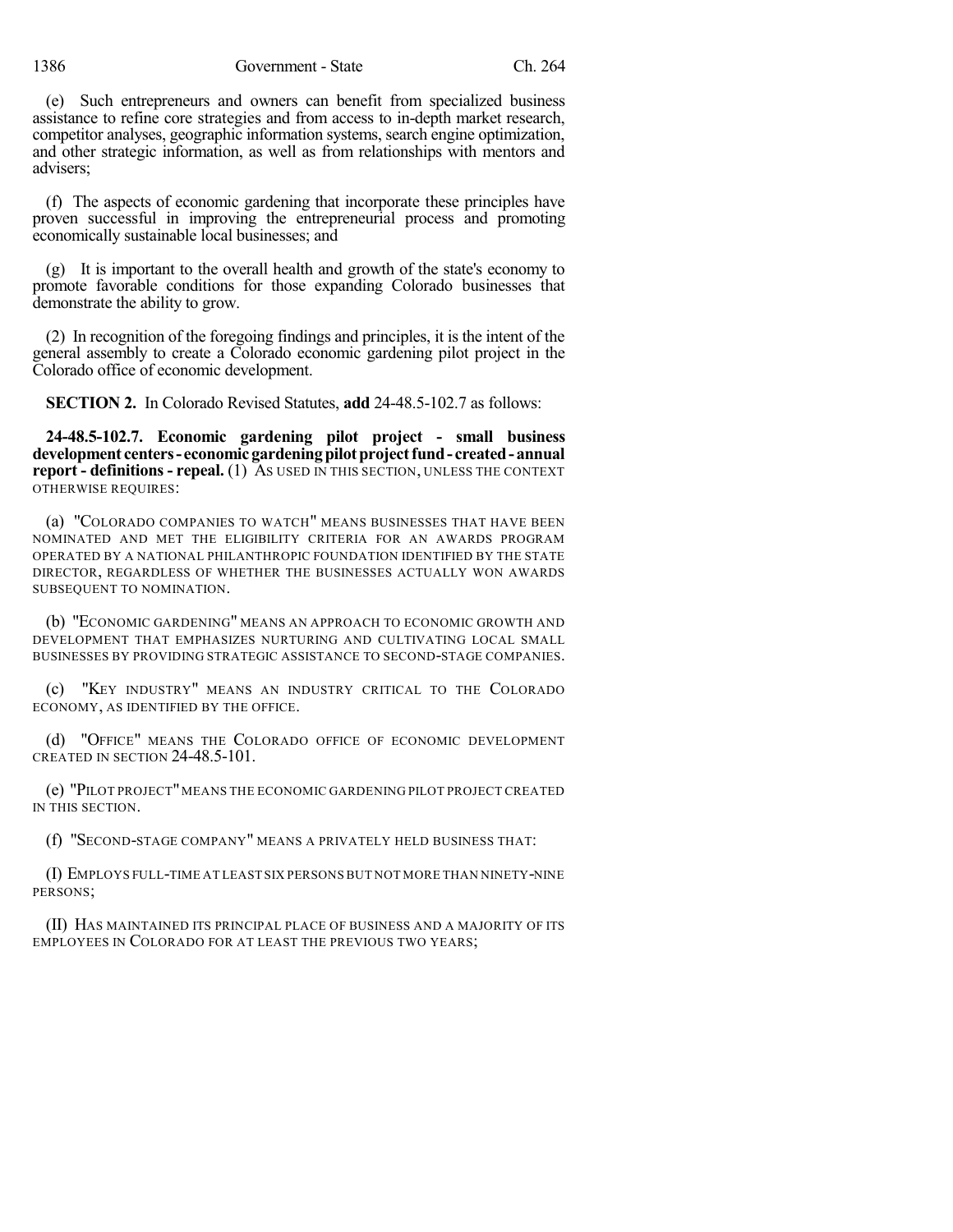1386 Government - State Ch. 264

(e) Such entrepreneurs and owners can benefit from specialized business assistance to refine core strategies and from access to in-depth market research, competitor analyses, geographic information systems, search engine optimization, and other strategic information, as well as from relationships with mentors and advisers;

(f) The aspects of economic gardening that incorporate these principles have proven successful in improving the entrepreneurial process and promoting economically sustainable local businesses; and

(g) It is important to the overall health and growth of the state's economy to promote favorable conditions for those expanding Colorado businesses that demonstrate the ability to grow.

(2) In recognition of the foregoing findings and principles, it is the intent of the general assembly to create a Colorado economic gardening pilot project in the Colorado office of economic development.

**SECTION 2.** In Colorado Revised Statutes, **add** 24-48.5-102.7 as follows:

**24-48.5-102.7. Economic gardening pilot project - small business development centers- economicgardeningpilotprojectfund- created-annual report - definitions - repeal.** (1) AS USED IN THIS SECTION, UNLESS THE CONTEXT OTHERWISE REQUIRES:

(a) "COLORADO COMPANIES TO WATCH" MEANS BUSINESSES THAT HAVE BEEN NOMINATED AND MET THE ELIGIBILITY CRITERIA FOR AN AWARDS PROGRAM OPERATED BY A NATIONAL PHILANTHROPIC FOUNDATION IDENTIFIED BY THE STATE DIRECTOR, REGARDLESS OF WHETHER THE BUSINESSES ACTUALLY WON AWARDS SUBSEQUENT TO NOMINATION.

(b) "ECONOMIC GARDENING" MEANS AN APPROACH TO ECONOMIC GROWTH AND DEVELOPMENT THAT EMPHASIZES NURTURING AND CULTIVATING LOCAL SMALL BUSINESSES BY PROVIDING STRATEGIC ASSISTANCE TO SECOND-STAGE COMPANIES.

"KEY INDUSTRY" MEANS AN INDUSTRY CRITICAL TO THE COLORADO ECONOMY, AS IDENTIFIED BY THE OFFICE.

(d) "OFFICE" MEANS THE COLORADO OFFICE OF ECONOMIC DEVELOPMENT CREATED IN SECTION 24-48.5-101.

(e) "PILOT PROJECT"MEANS THE ECONOMIC GARDENING PILOT PROJECT CREATED IN THIS SECTION.

(f) "SECOND-STAGE COMPANY" MEANS A PRIVATELY HELD BUSINESS THAT:

(I) EMPLOYS FULL-TIME AT LEAST SIX PERSONS BUT NOT MORE THAN NINETY-NINE PERSONS;

(II) HAS MAINTAINED ITS PRINCIPAL PLACE OF BUSINESS AND A MAJORITY OF ITS EMPLOYEES IN COLORADO FOR AT LEAST THE PREVIOUS TWO YEARS;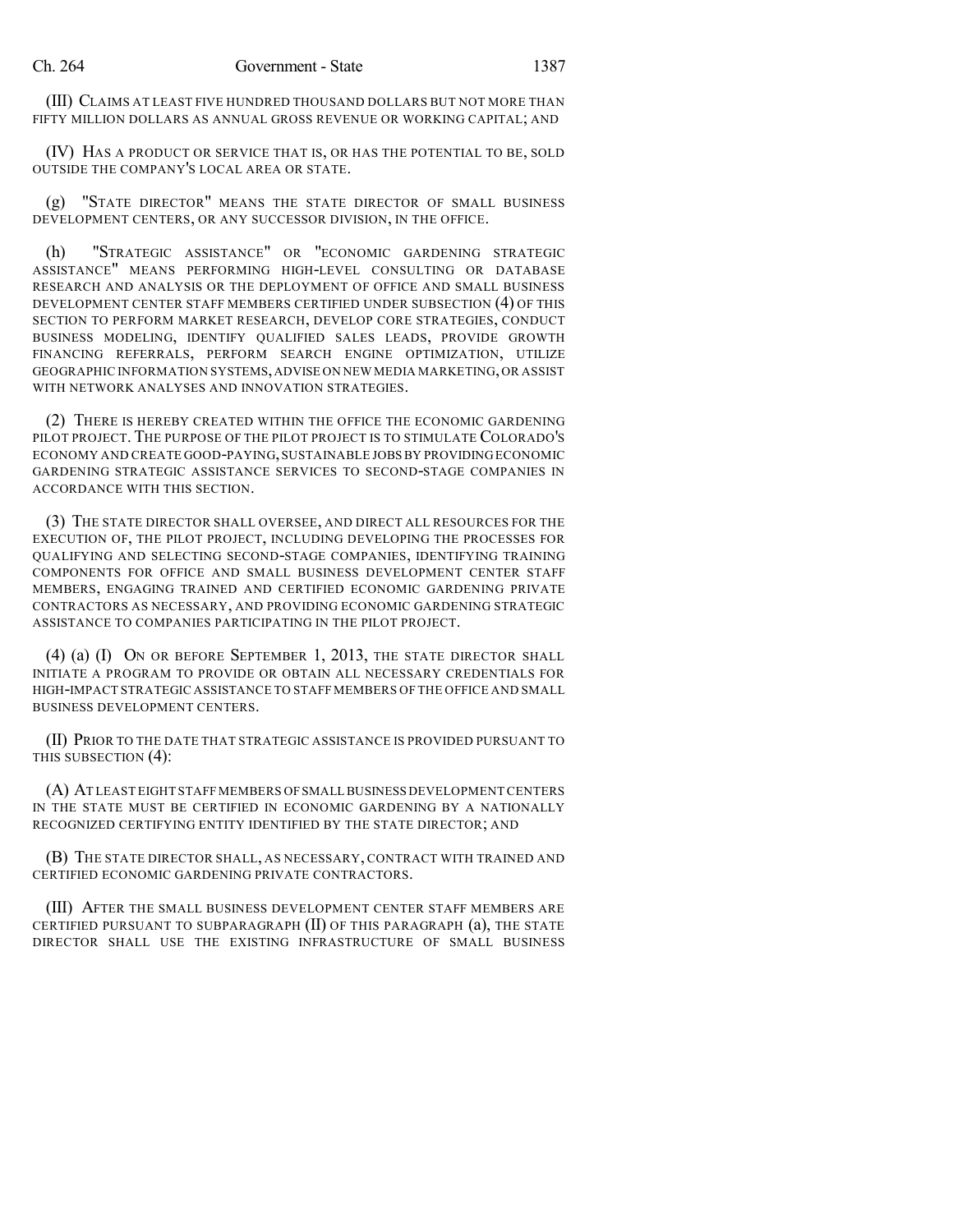(III) CLAIMS AT LEAST FIVE HUNDRED THOUSAND DOLLARS BUT NOT MORE THAN FIFTY MILLION DOLLARS AS ANNUAL GROSS REVENUE OR WORKING CAPITAL; AND

(IV) HAS A PRODUCT OR SERVICE THAT IS, OR HAS THE POTENTIAL TO BE, SOLD OUTSIDE THE COMPANY'S LOCAL AREA OR STATE.

(g) "STATE DIRECTOR" MEANS THE STATE DIRECTOR OF SMALL BUSINESS DEVELOPMENT CENTERS, OR ANY SUCCESSOR DIVISION, IN THE OFFICE.

(h) "STRATEGIC ASSISTANCE" OR "ECONOMIC GARDENING STRATEGIC ASSISTANCE" MEANS PERFORMING HIGH-LEVEL CONSULTING OR DATABASE RESEARCH AND ANALYSIS OR THE DEPLOYMENT OF OFFICE AND SMALL BUSINESS DEVELOPMENT CENTER STAFF MEMBERS CERTIFIED UNDER SUBSECTION (4) OF THIS SECTION TO PERFORM MARKET RESEARCH, DEVELOP CORE STRATEGIES, CONDUCT BUSINESS MODELING, IDENTIFY QUALIFIED SALES LEADS, PROVIDE GROWTH FINANCING REFERRALS, PERFORM SEARCH ENGINE OPTIMIZATION, UTILIZE GEOGRAPHIC INFORMATION SYSTEMS,ADVISE ON NEW MEDIA MARKETING,OR ASSIST WITH NETWORK ANALYSES AND INNOVATION STRATEGIES.

(2) THERE IS HEREBY CREATED WITHIN THE OFFICE THE ECONOMIC GARDENING PILOT PROJECT. THE PURPOSE OF THE PILOT PROJECT IS TO STIMULATE COLORADO'S ECONOMY AND CREATE GOOD-PAYING,SUSTAINABLE JOBS BY PROVIDING ECONOMIC GARDENING STRATEGIC ASSISTANCE SERVICES TO SECOND-STAGE COMPANIES IN ACCORDANCE WITH THIS SECTION.

(3) THE STATE DIRECTOR SHALL OVERSEE, AND DIRECT ALL RESOURCES FOR THE EXECUTION OF, THE PILOT PROJECT, INCLUDING DEVELOPING THE PROCESSES FOR QUALIFYING AND SELECTING SECOND-STAGE COMPANIES, IDENTIFYING TRAINING COMPONENTS FOR OFFICE AND SMALL BUSINESS DEVELOPMENT CENTER STAFF MEMBERS, ENGAGING TRAINED AND CERTIFIED ECONOMIC GARDENING PRIVATE CONTRACTORS AS NECESSARY, AND PROVIDING ECONOMIC GARDENING STRATEGIC ASSISTANCE TO COMPANIES PARTICIPATING IN THE PILOT PROJECT.

(4) (a) (I) ON OR BEFORE SEPTEMBER 1, 2013, THE STATE DIRECTOR SHALL INITIATE A PROGRAM TO PROVIDE OR OBTAIN ALL NECESSARY CREDENTIALS FOR HIGH-IMPACT STRATEGIC ASSISTANCE TO STAFF MEMBERS OF THE OFFICE AND SMALL BUSINESS DEVELOPMENT CENTERS.

(II) PRIOR TO THE DATE THAT STRATEGIC ASSISTANCE IS PROVIDED PURSUANT TO THIS SUBSECTION (4):

(A) AT LEAST EIGHT STAFF MEMBERS OFSMALL BUSINESS DEVELOPMENT CENTERS IN THE STATE MUST BE CERTIFIED IN ECONOMIC GARDENING BY A NATIONALLY RECOGNIZED CERTIFYING ENTITY IDENTIFIED BY THE STATE DIRECTOR; AND

(B) THE STATE DIRECTOR SHALL, AS NECESSARY, CONTRACT WITH TRAINED AND CERTIFIED ECONOMIC GARDENING PRIVATE CONTRACTORS.

(III) AFTER THE SMALL BUSINESS DEVELOPMENT CENTER STAFF MEMBERS ARE CERTIFIED PURSUANT TO SUBPARAGRAPH (II) OF THIS PARAGRAPH (a), THE STATE DIRECTOR SHALL USE THE EXISTING INFRASTRUCTURE OF SMALL BUSINESS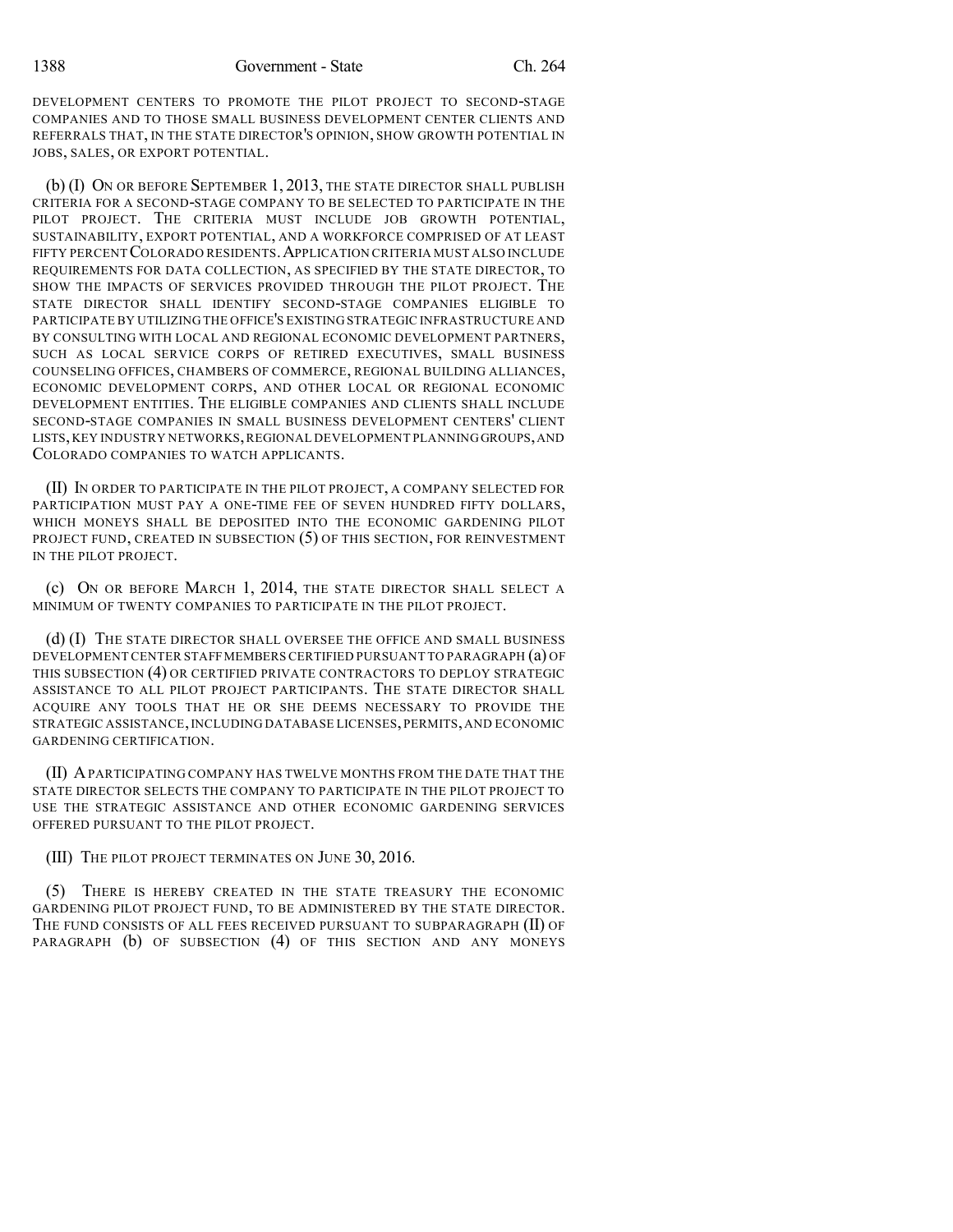DEVELOPMENT CENTERS TO PROMOTE THE PILOT PROJECT TO SECOND-STAGE COMPANIES AND TO THOSE SMALL BUSINESS DEVELOPMENT CENTER CLIENTS AND REFERRALS THAT, IN THE STATE DIRECTOR'S OPINION, SHOW GROWTH POTENTIAL IN JOBS, SALES, OR EXPORT POTENTIAL.

(b) (I) ON OR BEFORE SEPTEMBER 1, 2013, THE STATE DIRECTOR SHALL PUBLISH CRITERIA FOR A SECOND-STAGE COMPANY TO BE SELECTED TO PARTICIPATE IN THE PILOT PROJECT. THE CRITERIA MUST INCLUDE JOB GROWTH POTENTIAL, SUSTAINABILITY, EXPORT POTENTIAL, AND A WORKFORCE COMPRISED OF AT LEAST FIFTY PERCENT COLORADO RESIDENTS. APPLICATION CRITERIA MUST ALSO INCLUDE REQUIREMENTS FOR DATA COLLECTION, AS SPECIFIED BY THE STATE DIRECTOR, TO SHOW THE IMPACTS OF SERVICES PROVIDED THROUGH THE PILOT PROJECT. THE STATE DIRECTOR SHALL IDENTIFY SECOND-STAGE COMPANIES ELIGIBLE TO PARTICIPATE BY UTILIZING THE OFFICE'S EXISTING STRATEGIC INFRASTRUCTURE AND BY CONSULTING WITH LOCAL AND REGIONAL ECONOMIC DEVELOPMENT PARTNERS, SUCH AS LOCAL SERVICE CORPS OF RETIRED EXECUTIVES, SMALL BUSINESS COUNSELING OFFICES, CHAMBERS OF COMMERCE, REGIONAL BUILDING ALLIANCES, ECONOMIC DEVELOPMENT CORPS, AND OTHER LOCAL OR REGIONAL ECONOMIC DEVELOPMENT ENTITIES. THE ELIGIBLE COMPANIES AND CLIENTS SHALL INCLUDE SECOND-STAGE COMPANIES IN SMALL BUSINESS DEVELOPMENT CENTERS' CLIENT LISTS,KEY INDUSTRY NETWORKS,REGIONAL DEVELOPMENT PLANNING GROUPS,AND COLORADO COMPANIES TO WATCH APPLICANTS.

(II) IN ORDER TO PARTICIPATE IN THE PILOT PROJECT, A COMPANY SELECTED FOR PARTICIPATION MUST PAY A ONE-TIME FEE OF SEVEN HUNDRED FIFTY DOLLARS, WHICH MONEYS SHALL BE DEPOSITED INTO THE ECONOMIC GARDENING PILOT PROJECT FUND, CREATED IN SUBSECTION (5) OF THIS SECTION, FOR REINVESTMENT IN THE PILOT PROJECT.

(c) ON OR BEFORE MARCH 1, 2014, THE STATE DIRECTOR SHALL SELECT A MINIMUM OF TWENTY COMPANIES TO PARTICIPATE IN THE PILOT PROJECT.

(d) (I) THE STATE DIRECTOR SHALL OVERSEE THE OFFICE AND SMALL BUSINESS DEVELOPMENT CENTER STAFFMEMBERSCERTIFIED PURSUANT TO PARAGRAPH (a) OF THIS SUBSECTION (4) OR CERTIFIED PRIVATE CONTRACTORS TO DEPLOY STRATEGIC ASSISTANCE TO ALL PILOT PROJECT PARTICIPANTS. THE STATE DIRECTOR SHALL ACQUIRE ANY TOOLS THAT HE OR SHE DEEMS NECESSARY TO PROVIDE THE STRATEGIC ASSISTANCE,INCLUDING DATABASE LICENSES, PERMITS, AND ECONOMIC GARDENING CERTIFICATION.

(II) APARTICIPATING COMPANY HAS TWELVE MONTHS FROM THE DATE THAT THE STATE DIRECTOR SELECTS THE COMPANY TO PARTICIPATE IN THE PILOT PROJECT TO USE THE STRATEGIC ASSISTANCE AND OTHER ECONOMIC GARDENING SERVICES OFFERED PURSUANT TO THE PILOT PROJECT.

(III) THE PILOT PROJECT TERMINATES ON JUNE 30, 2016.

(5) THERE IS HEREBY CREATED IN THE STATE TREASURY THE ECONOMIC GARDENING PILOT PROJECT FUND, TO BE ADMINISTERED BY THE STATE DIRECTOR. THE FUND CONSISTS OF ALL FEES RECEIVED PURSUANT TO SUBPARAGRAPH (II) OF PARAGRAPH (b) OF SUBSECTION (4) OF THIS SECTION AND ANY MONEYS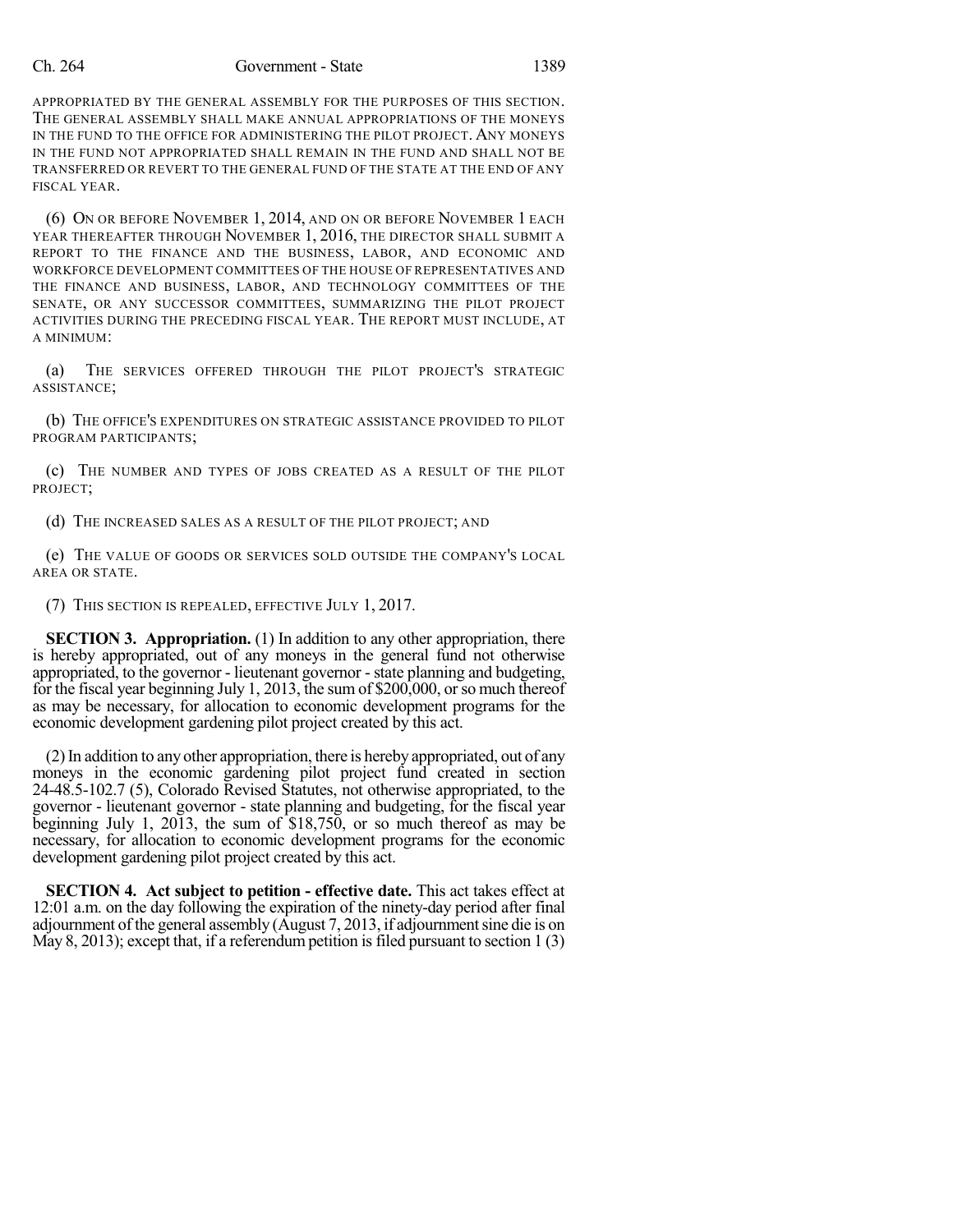## Ch. 264 Government - State 1389

APPROPRIATED BY THE GENERAL ASSEMBLY FOR THE PURPOSES OF THIS SECTION. THE GENERAL ASSEMBLY SHALL MAKE ANNUAL APPROPRIATIONS OF THE MONEYS IN THE FUND TO THE OFFICE FOR ADMINISTERING THE PILOT PROJECT. ANY MONEYS IN THE FUND NOT APPROPRIATED SHALL REMAIN IN THE FUND AND SHALL NOT BE TRANSFERRED OR REVERT TO THE GENERAL FUND OF THE STATE AT THE END OF ANY FISCAL YEAR.

(6) ON OR BEFORE NOVEMBER 1, 2014, AND ON OR BEFORE NOVEMBER 1 EACH YEAR THEREAFTER THROUGH NOVEMBER 1, 2016, THE DIRECTOR SHALL SUBMIT A REPORT TO THE FINANCE AND THE BUSINESS, LABOR, AND ECONOMIC AND WORKFORCE DEVELOPMENT COMMITTEES OF THE HOUSE OF REPRESENTATIVES AND THE FINANCE AND BUSINESS, LABOR, AND TECHNOLOGY COMMITTEES OF THE SENATE, OR ANY SUCCESSOR COMMITTEES, SUMMARIZING THE PILOT PROJECT ACTIVITIES DURING THE PRECEDING FISCAL YEAR. THE REPORT MUST INCLUDE, AT A MINIMUM:

(a) THE SERVICES OFFERED THROUGH THE PILOT PROJECT'S STRATEGIC ASSISTANCE;

(b) THE OFFICE'S EXPENDITURES ON STRATEGIC ASSISTANCE PROVIDED TO PILOT PROGRAM PARTICIPANTS;

(c) THE NUMBER AND TYPES OF JOBS CREATED AS A RESULT OF THE PILOT PROJECT;

(d) THE INCREASED SALES AS A RESULT OF THE PILOT PROJECT; AND

(e) THE VALUE OF GOODS OR SERVICES SOLD OUTSIDE THE COMPANY'S LOCAL AREA OR STATE.

(7) THIS SECTION IS REPEALED, EFFECTIVE JULY 1, 2017.

**SECTION 3. Appropriation.** (1) In addition to any other appropriation, there is hereby appropriated, out of any moneys in the general fund not otherwise appropriated, to the governor - lieutenant governor -state planning and budgeting, for the fiscal year beginning July 1, 2013, the sum of \$200,000, or so much thereof as may be necessary, for allocation to economic development programs for the economic development gardening pilot project created by this act.

(2)In addition to any other appropriation, there is hereby appropriated, out of any moneys in the economic gardening pilot project fund created in section 24-48.5-102.7 (5), Colorado Revised Statutes, not otherwise appropriated, to the governor - lieutenant governor - state planning and budgeting, for the fiscal year beginning July 1, 2013, the sum of \$18,750, or so much thereof as may be necessary, for allocation to economic development programs for the economic development gardening pilot project created by this act.

**SECTION 4. Act subject to petition - effective date.** This act takes effect at 12:01 a.m. on the day following the expiration of the ninety-day period after final adjournment of the general assembly (August 7, 2013, if adjournment sine die is on May 8, 2013); except that, if a referendum petition is filed pursuant to section  $1(3)$